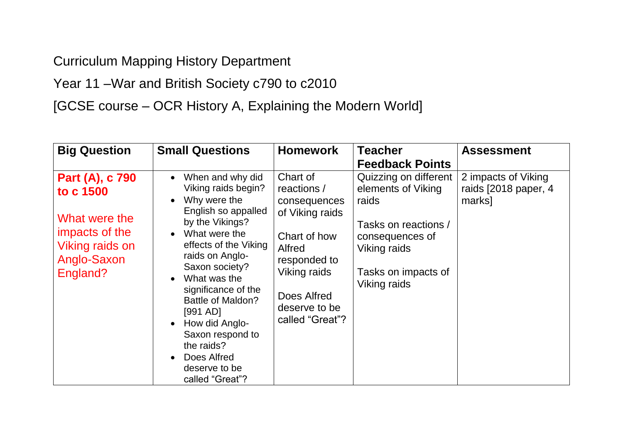Curriculum Mapping History Department

Year 11 –War and British Society c790 to c2010

[GCSE course – OCR History A, Explaining the Modern World]

| <b>Big Question</b>                                                                                                  | <b>Small Questions</b>                                                                                                                                                                                                                                                                                                                                                                           | <b>Homework</b>                                                                                                                                                         | <b>Teacher</b><br><b>Feedback Points</b>                                                                                                               | <b>Assessment</b>                                     |
|----------------------------------------------------------------------------------------------------------------------|--------------------------------------------------------------------------------------------------------------------------------------------------------------------------------------------------------------------------------------------------------------------------------------------------------------------------------------------------------------------------------------------------|-------------------------------------------------------------------------------------------------------------------------------------------------------------------------|--------------------------------------------------------------------------------------------------------------------------------------------------------|-------------------------------------------------------|
| Part (A), c 790<br>to c 1500<br>What were the<br>impacts of the<br><b>Viking raids on</b><br>Anglo-Saxon<br>England? | When and why did<br>$\bullet$<br>Viking raids begin?<br>Why were the<br>English so appalled<br>by the Vikings?<br>What were the<br>effects of the Viking<br>raids on Anglo-<br>Saxon society?<br>What was the<br>significance of the<br><b>Battle of Maldon?</b><br>[991 AD]<br>How did Anglo-<br>$\bullet$<br>Saxon respond to<br>the raids?<br>Does Alfred<br>deserve to be<br>called "Great"? | Chart of<br>reactions /<br>consequences<br>of Viking raids<br>Chart of how<br>Alfred<br>responded to<br>Viking raids<br>Does Alfred<br>deserve to be<br>called "Great"? | Quizzing on different<br>elements of Viking<br>raids<br>Tasks on reactions /<br>consequences of<br>Viking raids<br>Tasks on impacts of<br>Viking raids | 2 impacts of Viking<br>raids [2018 paper, 4<br>marks] |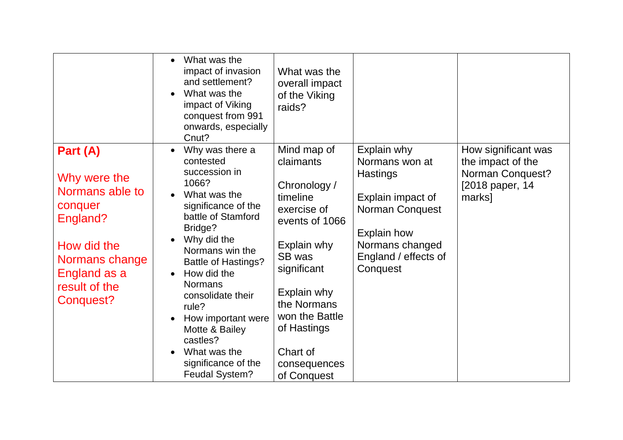|                                                                                                                                                   | What was the<br>impact of invasion<br>and settlement?<br>What was the<br>impact of Viking<br>conquest from 991<br>onwards, especially<br>Cnut?                                                                                                                                                                                                                                    | What was the<br>overall impact<br>of the Viking<br>raids?                                                                                                                                                                               |                                                                                                                                                                       |                                                                                           |
|---------------------------------------------------------------------------------------------------------------------------------------------------|-----------------------------------------------------------------------------------------------------------------------------------------------------------------------------------------------------------------------------------------------------------------------------------------------------------------------------------------------------------------------------------|-----------------------------------------------------------------------------------------------------------------------------------------------------------------------------------------------------------------------------------------|-----------------------------------------------------------------------------------------------------------------------------------------------------------------------|-------------------------------------------------------------------------------------------|
| Part (A)<br>Why were the<br>Normans able to<br>conquer<br>England?<br>How did the<br>Normans change<br>England as a<br>result of the<br>Conquest? | Why was there a<br>contested<br>succession in<br>1066?<br>What was the<br>significance of the<br>battle of Stamford<br>Bridge?<br>Why did the<br>Normans win the<br><b>Battle of Hastings?</b><br>How did the<br><b>Normans</b><br>consolidate their<br>rule?<br>How important were<br>Motte & Bailey<br>castles?<br>What was the<br>significance of the<br><b>Feudal System?</b> | Mind map of<br>claimants<br>Chronology /<br>timeline<br>exercise of<br>events of 1066<br>Explain why<br>SB was<br>significant<br>Explain why<br>the Normans<br>won the Battle<br>of Hastings<br>Chart of<br>consequences<br>of Conquest | Explain why<br>Normans won at<br><b>Hastings</b><br>Explain impact of<br>Norman Conquest<br><b>Explain how</b><br>Normans changed<br>England / effects of<br>Conquest | How significant was<br>the impact of the<br>Norman Conquest?<br>[2018 paper, 14<br>marks] |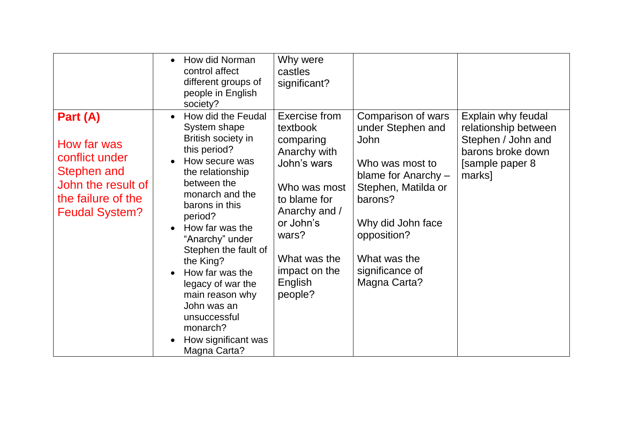|                                                                                                                               | How did Norman<br>$\bullet$<br>control affect<br>different groups of<br>people in English<br>society?                                                                                                                                                                                                                                                                                                              | Why were<br>castles<br>significant?                                                                                                                                                                 |                                                                                                                                                                                                                    |                                                                                                                    |
|-------------------------------------------------------------------------------------------------------------------------------|--------------------------------------------------------------------------------------------------------------------------------------------------------------------------------------------------------------------------------------------------------------------------------------------------------------------------------------------------------------------------------------------------------------------|-----------------------------------------------------------------------------------------------------------------------------------------------------------------------------------------------------|--------------------------------------------------------------------------------------------------------------------------------------------------------------------------------------------------------------------|--------------------------------------------------------------------------------------------------------------------|
| Part (A)<br>How far was<br>conflict under<br>Stephen and<br>John the result of<br>the failure of the<br><b>Feudal System?</b> | How did the Feudal<br>System shape<br>British society in<br>this period?<br>How secure was<br>the relationship<br>between the<br>monarch and the<br>barons in this<br>period?<br>How far was the<br>"Anarchy" under<br>Stephen the fault of<br>the King?<br>How far was the<br>$\bullet$<br>legacy of war the<br>main reason why<br>John was an<br>unsuccessful<br>monarch?<br>How significant was<br>Magna Carta? | Exercise from<br>textbook<br>comparing<br>Anarchy with<br>John's wars<br>Who was most<br>to blame for<br>Anarchy and /<br>or John's<br>wars?<br>What was the<br>impact on the<br>English<br>people? | Comparison of wars<br>under Stephen and<br>John<br>Who was most to<br>blame for Anarchy -<br>Stephen, Matilda or<br>barons?<br>Why did John face<br>opposition?<br>What was the<br>significance of<br>Magna Carta? | Explain why feudal<br>relationship between<br>Stephen / John and<br>barons broke down<br>[sample paper 8<br>marks] |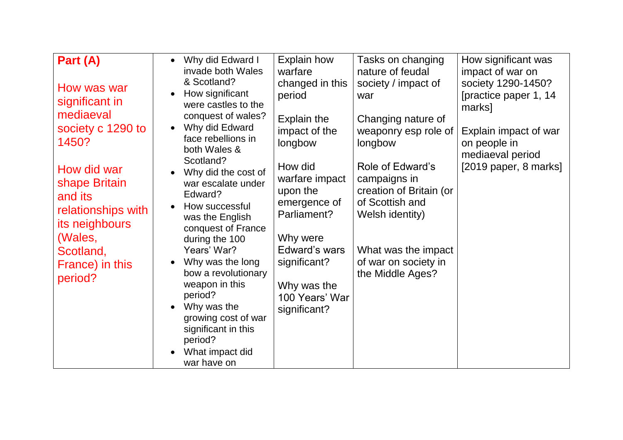| Part (A)<br>How was war<br>significant in<br>mediaeval<br>society c 1290 to<br>1450?<br>How did war<br>shape Britain<br>and its<br>relationships with<br>its neighbours<br>(Wales,<br>Scotland,<br>France) in this<br>period? | Why did Edward I<br>$\bullet$<br>invade both Wales<br>& Scotland?<br>How significant<br>were castles to the<br>conquest of wales?<br>Why did Edward<br>face rebellions in<br>both Wales &<br>Scotland?<br>Why did the cost of<br>war escalate under<br>Edward?<br>How successful<br>$\bullet$<br>was the English<br>conquest of France<br>during the 100<br>Years' War?<br>Why was the long<br>$\bullet$<br>bow a revolutionary<br>weapon in this<br>period?<br>Why was the<br>$\bullet$<br>growing cost of war<br>significant in this | <b>Explain how</b><br>warfare<br>changed in this<br>period<br>Explain the<br>impact of the<br>longbow<br>How did<br>warfare impact<br>upon the<br>emergence of<br>Parliament?<br>Why were<br>Edward's wars<br>significant?<br>Why was the<br>100 Years' War<br>significant? | Tasks on changing<br>nature of feudal<br>society / impact of<br>war<br>Changing nature of<br>weaponry esp role of<br>longbow<br>Role of Edward's<br>campaigns in<br>creation of Britain (or<br>of Scottish and<br>Welsh identity)<br>What was the impact<br>of war on society in<br>the Middle Ages? | How significant was<br>impact of war on<br>society 1290-1450?<br>[practice paper 1, 14<br>marks]<br>Explain impact of war<br>on people in<br>mediaeval period<br>$[2019$ paper, 8 marks] |
|-------------------------------------------------------------------------------------------------------------------------------------------------------------------------------------------------------------------------------|----------------------------------------------------------------------------------------------------------------------------------------------------------------------------------------------------------------------------------------------------------------------------------------------------------------------------------------------------------------------------------------------------------------------------------------------------------------------------------------------------------------------------------------|-----------------------------------------------------------------------------------------------------------------------------------------------------------------------------------------------------------------------------------------------------------------------------|------------------------------------------------------------------------------------------------------------------------------------------------------------------------------------------------------------------------------------------------------------------------------------------------------|------------------------------------------------------------------------------------------------------------------------------------------------------------------------------------------|
|                                                                                                                                                                                                                               | period?<br>What impact did<br>war have on                                                                                                                                                                                                                                                                                                                                                                                                                                                                                              |                                                                                                                                                                                                                                                                             |                                                                                                                                                                                                                                                                                                      |                                                                                                                                                                                          |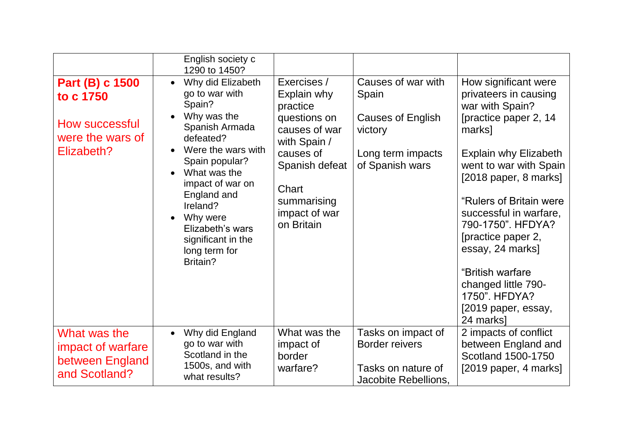|                                                                                  | English society c                                                                                                                                                                                                                                                                                      |                                                                                                                                                                               |                                                                                                            |                                                                                                                                                                                                                                                                                                                                                                                                              |
|----------------------------------------------------------------------------------|--------------------------------------------------------------------------------------------------------------------------------------------------------------------------------------------------------------------------------------------------------------------------------------------------------|-------------------------------------------------------------------------------------------------------------------------------------------------------------------------------|------------------------------------------------------------------------------------------------------------|--------------------------------------------------------------------------------------------------------------------------------------------------------------------------------------------------------------------------------------------------------------------------------------------------------------------------------------------------------------------------------------------------------------|
| Part (B) c 1500<br>to c 1750<br>How successful<br>were the wars of<br>Elizabeth? | 1290 to 1450?<br>Why did Elizabeth<br>go to war with<br>Spain?<br>Why was the<br>Spanish Armada<br>defeated?<br>Were the wars with<br>Spain popular?<br>What was the<br>impact of war on<br>England and<br>Ireland?<br>Why were<br>Elizabeth's wars<br>significant in the<br>long term for<br>Britain? | Exercises /<br>Explain why<br>practice<br>questions on<br>causes of war<br>with Spain /<br>causes of<br>Spanish defeat<br>Chart<br>summarising<br>impact of war<br>on Britain | Causes of war with<br>Spain<br><b>Causes of English</b><br>victory<br>Long term impacts<br>of Spanish wars | How significant were<br>privateers in causing<br>war with Spain?<br>[practice paper 2, 14<br>marks]<br><b>Explain why Elizabeth</b><br>went to war with Spain<br>$[2018$ paper, 8 marks]<br>"Rulers of Britain were<br>successful in warfare,<br>790-1750". HFDYA?<br>[practice paper 2,<br>essay, 24 marks]<br>"British warfare<br>changed little 790-<br>1750". HFDYA?<br>[2019 paper, essay,<br>24 marks] |
| What was the<br>impact of warfare<br>between England<br>and Scotland?            | Why did England<br>go to war with<br>Scotland in the<br>1500s, and with<br>what results?                                                                                                                                                                                                               | What was the<br>impact of<br>border<br>warfare?                                                                                                                               | Tasks on impact of<br><b>Border reivers</b><br>Tasks on nature of<br>Jacobite Rebellions,                  | 2 impacts of conflict<br>between England and<br>Scotland 1500-1750<br>$[2019$ paper, 4 marks]                                                                                                                                                                                                                                                                                                                |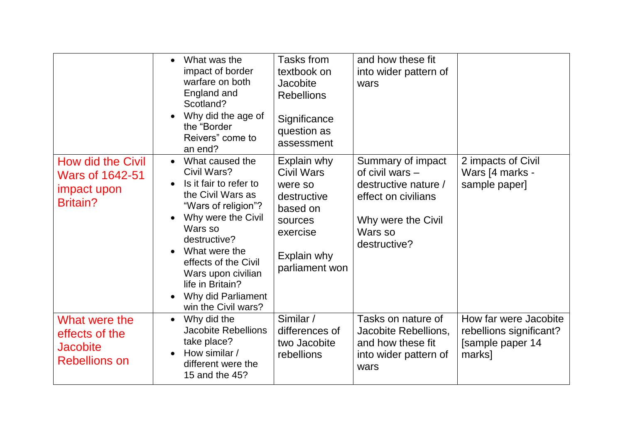|                                                                               | What was the<br>$\bullet$<br>impact of border<br>warfare on both<br>England and<br>Scotland?<br>Why did the age of<br>the "Border"<br>Reivers" come to<br>an end?                                                                                                                                               | Tasks from<br>textbook on<br><b>Jacobite</b><br><b>Rebellions</b><br>Significance<br>question as<br>assessment          | and how these fit<br>into wider pattern of<br>wars                                                                                   |                                                                                |
|-------------------------------------------------------------------------------|-----------------------------------------------------------------------------------------------------------------------------------------------------------------------------------------------------------------------------------------------------------------------------------------------------------------|-------------------------------------------------------------------------------------------------------------------------|--------------------------------------------------------------------------------------------------------------------------------------|--------------------------------------------------------------------------------|
| How did the Civil<br><b>Wars of 1642-51</b><br>impact upon<br><b>Britain?</b> | What caused the<br>$\bullet$<br>Civil Wars?<br>Is it fair to refer to<br>$\bullet$<br>the Civil Wars as<br>"Wars of religion"?<br>Why were the Civil<br>Wars so<br>destructive?<br>What were the<br>effects of the Civil<br>Wars upon civilian<br>life in Britain?<br>Why did Parliament<br>win the Civil wars? | Explain why<br>Civil Wars<br>were so<br>destructive<br>based on<br>sources<br>exercise<br>Explain why<br>parliament won | Summary of impact<br>of civil wars -<br>destructive nature /<br>effect on civilians<br>Why were the Civil<br>Wars so<br>destructive? | 2 impacts of Civil<br>Wars [4 marks -<br>sample paper]                         |
| What were the<br>effects of the<br><b>Jacobite</b><br><b>Rebellions on</b>    | Why did the<br>$\bullet$<br><b>Jacobite Rebellions</b><br>take place?<br>How similar /<br>different were the<br>15 and the 45?                                                                                                                                                                                  | Similar /<br>differences of<br>two Jacobite<br>rebellions                                                               | Tasks on nature of<br>Jacobite Rebellions,<br>and how these fit<br>into wider pattern of<br>wars                                     | How far were Jacobite<br>rebellions significant?<br>[sample paper 14<br>marks] |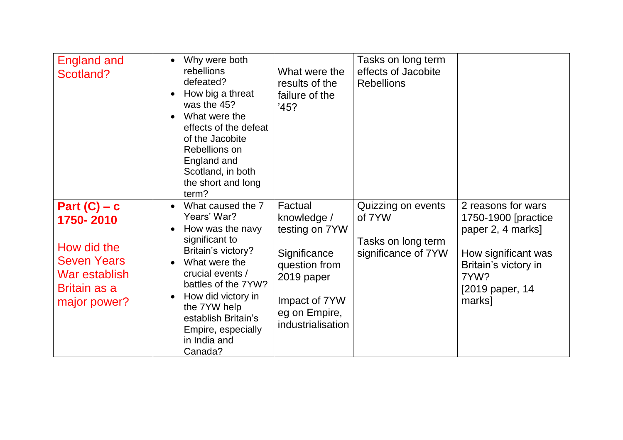| <b>England and</b><br>Scotland?                                                                                          | Why were both<br>rebellions<br>defeated?<br>How big a threat<br>was the 45?<br>What were the<br>effects of the defeat<br>of the Jacobite<br>Rebellions on<br>England and<br>Scotland, in both<br>the short and long<br>term?                                           | What were the<br>results of the<br>failure of the<br>'45?                                                                                      | Tasks on long term<br>effects of Jacobite<br><b>Rebellions</b>            |                                                                                                                                                     |
|--------------------------------------------------------------------------------------------------------------------------|------------------------------------------------------------------------------------------------------------------------------------------------------------------------------------------------------------------------------------------------------------------------|------------------------------------------------------------------------------------------------------------------------------------------------|---------------------------------------------------------------------------|-----------------------------------------------------------------------------------------------------------------------------------------------------|
| Part $(C)$ – c<br>1750-2010<br>How did the<br><b>Seven Years</b><br>War establish<br><b>Britain as a</b><br>major power? | What caused the 7<br>Years' War?<br>How was the navy<br>significant to<br>Britain's victory?<br>What were the<br>crucial events /<br>battles of the 7YW?<br>How did victory in<br>the 7YW help<br>establish Britain's<br>Empire, especially<br>in India and<br>Canada? | Factual<br>knowledge /<br>testing on 7YW<br>Significance<br>question from<br>2019 paper<br>Impact of 7YW<br>eg on Empire,<br>industrialisation | Quizzing on events<br>of 7YW<br>Tasks on long term<br>significance of 7YW | 2 reasons for wars<br>1750-1900 [practice]<br>paper 2, 4 marks]<br>How significant was<br>Britain's victory in<br>7YW?<br>[2019 paper, 14<br>marks] |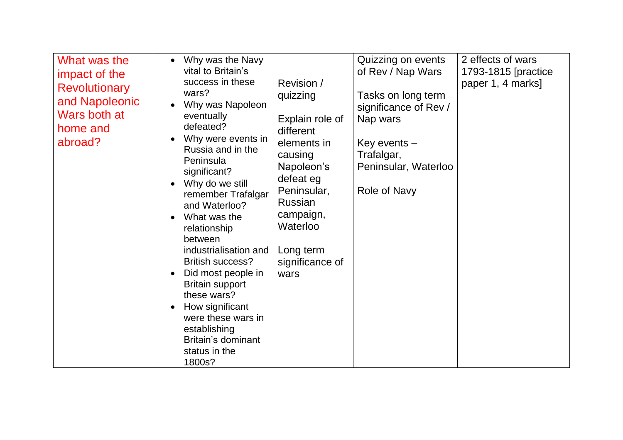| What was the<br>impact of the<br><b>Revolutionary</b><br>and Napoleonic<br>Wars both at<br>home and<br>abroad? | Why was the Navy<br>vital to Britain's<br>success in these<br>wars?<br>Why was Napoleon<br>eventually<br>defeated?<br>Why were events in<br>Russia and in the<br>Peninsula<br>significant?<br>Why do we still<br>remember Trafalgar<br>and Waterloo?<br>What was the<br>relationship<br>between<br>industrialisation and<br><b>British success?</b><br>Did most people in<br><b>Britain support</b><br>these wars?<br>How significant<br>were these wars in<br>establishing<br>Britain's dominant<br>status in the<br>1800s? | Revision /<br>quizzing<br>Explain role of<br>different<br>elements in<br>causing<br>Napoleon's<br>defeat eg<br>Peninsular,<br>Russian<br>campaign,<br>Waterloo<br>Long term<br>significance of<br>wars | Quizzing on events<br>of Rev / Nap Wars<br>Tasks on long term<br>significance of Rev /<br>Nap wars<br>Key events $-$<br>Trafalgar,<br>Peninsular, Waterloo<br>Role of Navy | 2 effects of wars<br>1793-1815 [practice<br>paper 1, 4 marks] |
|----------------------------------------------------------------------------------------------------------------|------------------------------------------------------------------------------------------------------------------------------------------------------------------------------------------------------------------------------------------------------------------------------------------------------------------------------------------------------------------------------------------------------------------------------------------------------------------------------------------------------------------------------|--------------------------------------------------------------------------------------------------------------------------------------------------------------------------------------------------------|----------------------------------------------------------------------------------------------------------------------------------------------------------------------------|---------------------------------------------------------------|
|----------------------------------------------------------------------------------------------------------------|------------------------------------------------------------------------------------------------------------------------------------------------------------------------------------------------------------------------------------------------------------------------------------------------------------------------------------------------------------------------------------------------------------------------------------------------------------------------------------------------------------------------------|--------------------------------------------------------------------------------------------------------------------------------------------------------------------------------------------------------|----------------------------------------------------------------------------------------------------------------------------------------------------------------------------|---------------------------------------------------------------|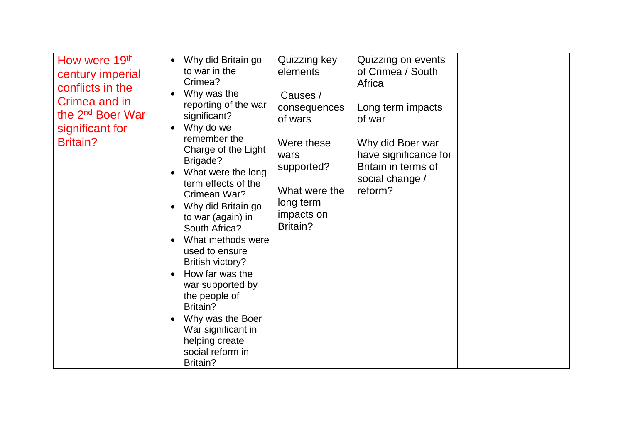| How were 19th<br>century imperial<br>conflicts in the<br>Crimea and in<br>the 2 <sup>nd</sup> Boer War<br>significant for<br><b>Britain?</b> | Why did Britain go<br>$\bullet$<br>to war in the<br>Crimea?<br>Why was the<br>reporting of the war<br>significant?<br>Why do we<br>$\bullet$<br>remember the<br>Charge of the Light<br>Brigade?<br>What were the long<br>term effects of the<br>Crimean War?<br>Why did Britain go<br>to war (again) in<br>South Africa?<br>What methods were<br>used to ensure<br>British victory?<br>How far was the<br>$\bullet$<br>war supported by<br>the people of<br>Britain?<br>Why was the Boer<br>War significant in<br>helping create<br>social reform in<br>Britain? | Quizzing key<br>elements<br>Causes /<br>consequences<br>of wars<br>Were these<br>wars<br>supported?<br>What were the<br>long term<br>impacts on<br>Britain? | Quizzing on events<br>of Crimea / South<br>Africa<br>Long term impacts<br>of war<br>Why did Boer war<br>have significance for<br>Britain in terms of<br>social change /<br>reform? |  |
|----------------------------------------------------------------------------------------------------------------------------------------------|------------------------------------------------------------------------------------------------------------------------------------------------------------------------------------------------------------------------------------------------------------------------------------------------------------------------------------------------------------------------------------------------------------------------------------------------------------------------------------------------------------------------------------------------------------------|-------------------------------------------------------------------------------------------------------------------------------------------------------------|------------------------------------------------------------------------------------------------------------------------------------------------------------------------------------|--|
|----------------------------------------------------------------------------------------------------------------------------------------------|------------------------------------------------------------------------------------------------------------------------------------------------------------------------------------------------------------------------------------------------------------------------------------------------------------------------------------------------------------------------------------------------------------------------------------------------------------------------------------------------------------------------------------------------------------------|-------------------------------------------------------------------------------------------------------------------------------------------------------------|------------------------------------------------------------------------------------------------------------------------------------------------------------------------------------|--|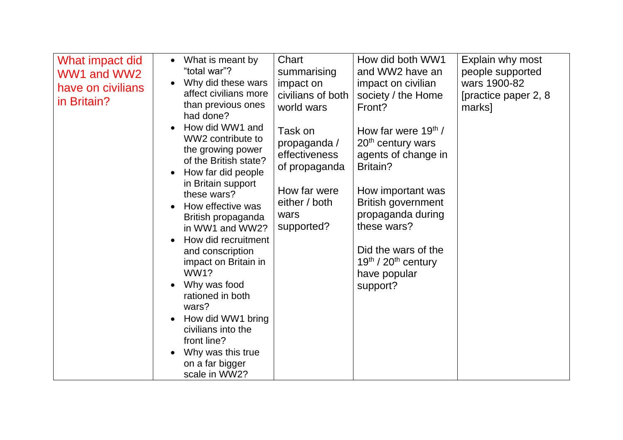| What impact did<br>WW1 and WW2<br>have on civilians<br>in Britain? | What is meant by<br>"total war"?<br>Why did these wars<br>affect civilians more<br>than previous ones<br>had done?<br>How did WW1 and<br>WW2 contribute to<br>the growing power<br>of the British state?<br>How far did people<br>in Britain support<br>these wars?<br>How effective was<br>British propaganda<br>in WW1 and WW2?<br>How did recruitment<br>and conscription<br>impact on Britain in<br>WW1?<br>Why was food<br>rationed in both<br>wars?<br>How did WW1 bring<br>civilians into the<br>front line?<br>Why was this true | Chart<br>summarising<br>impact on<br>civilians of both<br>world wars<br>Task on<br>propaganda /<br>effectiveness<br>of propaganda<br>How far were<br>either / both<br>wars<br>supported? | How did both WW1<br>and WW2 have an<br>impact on civilian<br>society / the Home<br>Front?<br>How far were $19th$ /<br>20 <sup>th</sup> century wars<br>agents of change in<br>Britain?<br>How important was<br><b>British government</b><br>propaganda during<br>these wars?<br>Did the wars of the<br>$19th$ / 20 <sup>th</sup> century<br>have popular<br>support? | Explain why most<br>people supported<br>wars 1900-82<br>[practice paper 2, 8]<br>marks] |
|--------------------------------------------------------------------|------------------------------------------------------------------------------------------------------------------------------------------------------------------------------------------------------------------------------------------------------------------------------------------------------------------------------------------------------------------------------------------------------------------------------------------------------------------------------------------------------------------------------------------|------------------------------------------------------------------------------------------------------------------------------------------------------------------------------------------|----------------------------------------------------------------------------------------------------------------------------------------------------------------------------------------------------------------------------------------------------------------------------------------------------------------------------------------------------------------------|-----------------------------------------------------------------------------------------|
|                                                                    | on a far bigger<br>scale in WW2?                                                                                                                                                                                                                                                                                                                                                                                                                                                                                                         |                                                                                                                                                                                          |                                                                                                                                                                                                                                                                                                                                                                      |                                                                                         |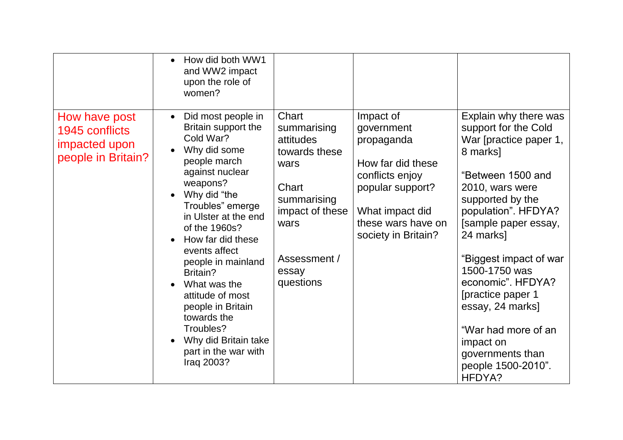|                                                                        | How did both WW1<br>and WW2 impact<br>upon the role of<br>women?                                                                                                                                                                                                                                                                                                                                                                           |                                                                                                                                                     |                                                                                                                                                                   |                                                                                                                                                                                                                                                                                                                                                                                                              |
|------------------------------------------------------------------------|--------------------------------------------------------------------------------------------------------------------------------------------------------------------------------------------------------------------------------------------------------------------------------------------------------------------------------------------------------------------------------------------------------------------------------------------|-----------------------------------------------------------------------------------------------------------------------------------------------------|-------------------------------------------------------------------------------------------------------------------------------------------------------------------|--------------------------------------------------------------------------------------------------------------------------------------------------------------------------------------------------------------------------------------------------------------------------------------------------------------------------------------------------------------------------------------------------------------|
| How have post<br>1945 conflicts<br>impacted upon<br>people in Britain? | Did most people in<br>$\bullet$<br>Britain support the<br>Cold War?<br>Why did some<br>people march<br>against nuclear<br>weapons?<br>Why did "the<br>Troubles" emerge<br>in Ulster at the end<br>of the 1960s?<br>How far did these<br>events affect<br>people in mainland<br>Britain?<br>What was the<br>attitude of most<br>people in Britain<br>towards the<br>Troubles?<br>Why did Britain take<br>part in the war with<br>Iraq 2003? | Chart<br>summarising<br>attitudes<br>towards these<br>wars<br>Chart<br>summarising<br>impact of these<br>wars<br>Assessment /<br>essay<br>questions | Impact of<br>government<br>propaganda<br>How far did these<br>conflicts enjoy<br>popular support?<br>What impact did<br>these wars have on<br>society in Britain? | Explain why there was<br>support for the Cold<br>War [practice paper 1,<br>8 marks]<br>"Between 1500 and<br>2010, wars were<br>supported by the<br>population". HFDYA?<br>[sample paper essay,<br>24 marks]<br>"Biggest impact of war<br>1500-1750 was<br>economic". HFDYA?<br>[practice paper 1<br>essay, 24 marks]<br>"War had more of an<br>impact on<br>governments than<br>people 1500-2010".<br>HFDYA? |